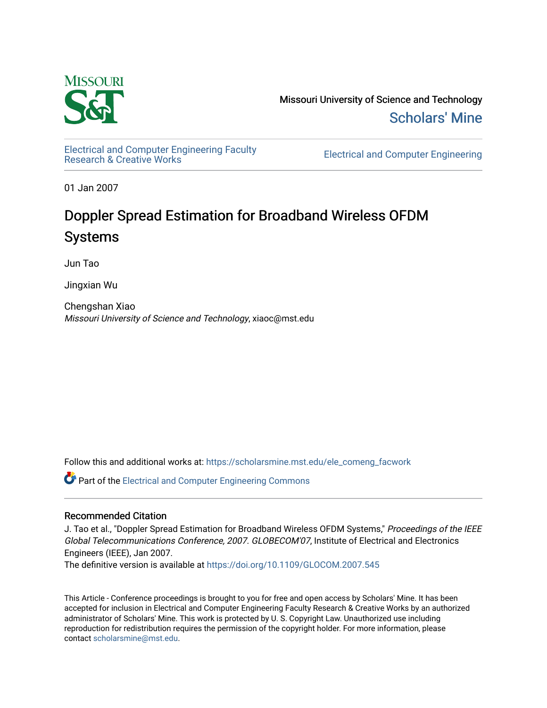

Missouri University of Science and Technology [Scholars' Mine](https://scholarsmine.mst.edu/) 

[Electrical and Computer Engineering Faculty](https://scholarsmine.mst.edu/ele_comeng_facwork)<br>Research & Creative Works

**Electrical and Computer Engineering** 

01 Jan 2007

## Doppler Spread Estimation for Broadband Wireless OFDM Systems

Jun Tao

Jingxian Wu

Chengshan Xiao Missouri University of Science and Technology, xiaoc@mst.edu

Follow this and additional works at: [https://scholarsmine.mst.edu/ele\\_comeng\\_facwork](https://scholarsmine.mst.edu/ele_comeng_facwork?utm_source=scholarsmine.mst.edu%2Fele_comeng_facwork%2F982&utm_medium=PDF&utm_campaign=PDFCoverPages)

**C** Part of the Electrical and Computer Engineering Commons

### Recommended Citation

J. Tao et al., "Doppler Spread Estimation for Broadband Wireless OFDM Systems," Proceedings of the IEEE Global Telecommunications Conference, 2007. GLOBECOM'07, Institute of Electrical and Electronics Engineers (IEEE), Jan 2007.

The definitive version is available at <https://doi.org/10.1109/GLOCOM.2007.545>

This Article - Conference proceedings is brought to you for free and open access by Scholars' Mine. It has been accepted for inclusion in Electrical and Computer Engineering Faculty Research & Creative Works by an authorized administrator of Scholars' Mine. This work is protected by U. S. Copyright Law. Unauthorized use including reproduction for redistribution requires the permission of the copyright holder. For more information, please contact [scholarsmine@mst.edu](mailto:scholarsmine@mst.edu).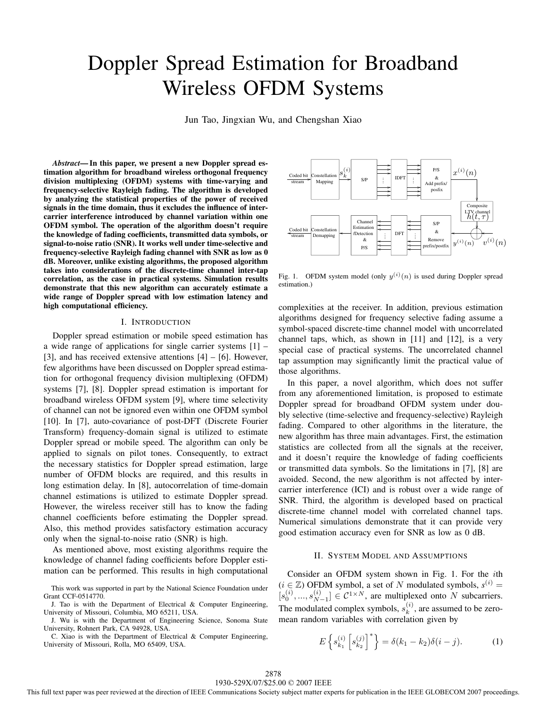# Doppler Spread Estimation for Broadband Wireless OFDM Systems

Jun Tao, Jingxian Wu, and Chengshan Xiao

*Abstract***— In this paper, we present a new Doppler spread estimation algorithm for broadband wireless orthogonal frequency division multiplexing (OFDM) systems with time-varying and frequency-selective Rayleigh fading. The algorithm is developed by analyzing the statistical properties of the power of received signals in the time domain, thus it excludes the influence of intercarrier interference introduced by channel variation within one OFDM symbol. The operation of the algorithm doesn't require the knowledge of fading coefficients, transmitted data symbols, or signal-to-noise ratio (SNR). It works well under time-selective and frequency-selective Rayleigh fading channel with SNR as low as 0 dB. Moreover, unlike existing algorithms, the proposed algorithm takes into considerations of the discrete-time channel inter-tap correlation, as the case in practical systems. Simulation results demonstrate that this new algorithm can accurately estimate a wide range of Doppler spread with low estimation latency and high computational efficiency.**

#### I. INTRODUCTION

Doppler spread estimation or mobile speed estimation has a wide range of applications for single carrier systems [1] – [3], and has received extensive attentions  $[4] - [6]$ . However, few algorithms have been discussed on Doppler spread estimation for orthogonal frequency division multiplexing (OFDM) systems [7], [8]. Doppler spread estimation is important for broadband wireless OFDM system [9], where time selectivity of channel can not be ignored even within one OFDM symbol [10]. In [7], auto-covariance of post-DFT (Discrete Fourier Transform) frequency-domain signal is utilized to estimate Doppler spread or mobile speed. The algorithm can only be applied to signals on pilot tones. Consequently, to extract the necessary statistics for Doppler spread estimation, large number of OFDM blocks are required, and this results in long estimation delay. In [8], autocorrelation of time-domain channel estimations is utilized to estimate Doppler spread. However, the wireless receiver still has to know the fading channel coefficients before estimating the Doppler spread. Also, this method provides satisfactory estimation accuracy only when the signal-to-noise ratio (SNR) is high.

As mentioned above, most existing algorithms require the knowledge of channel fading coefficients before Doppler estimation can be performed. This results in high computational

This work was supported in part by the National Science Foundation under Grant CCF-0514770.

J. Tao is with the Department of Electrical & Computer Engineering, University of Missouri, Columbia, MO 65211, USA.

J. Wu is with the Department of Engineering Science, Sonoma State University, Rohnert Park, CA 94928, USA.

C. Xiao is with the Department of Electrical & Computer Engineering, University of Missouri, Rolla, MO 65409, USA.



Fig. 1. OFDM system model (only  $y^{(i)}(n)$  is used during Doppler spread estimation.)

complexities at the receiver. In addition, previous estimation algorithms designed for frequency selective fading assume a symbol-spaced discrete-time channel model with uncorrelated channel taps, which, as shown in [11] and [12], is a very special case of practical systems. The uncorrelated channel tap assumption may significantly limit the practical value of those algorithms.

In this paper, a novel algorithm, which does not suffer from any aforementioned limitation, is proposed to estimate Doppler spread for broadband OFDM system under doubly selective (time-selective and frequency-selective) Rayleigh fading. Compared to other algorithms in the literature, the new algorithm has three main advantages. First, the estimation statistics are collected from all the signals at the receiver, and it doesn't require the knowledge of fading coefficients or transmitted data symbols. So the limitations in [7], [8] are avoided. Second, the new algorithm is not affected by intercarrier interference (ICI) and is robust over a wide range of SNR. Third, the algorithm is developed based on practical discrete-time channel model with correlated channel taps. Numerical simulations demonstrate that it can provide very good estimation accuracy even for SNR as low as 0 dB.

#### II. SYSTEM MODEL AND ASSUMPTIONS

Consider an OFDM system shown in Fig. 1. For the ith  $(i \in \mathbb{Z})$  OFDM symbol, a set of N modulated symbols,  $s^{(i)} =$  $[s_0^{(i)}, ..., s_{N-1}^{(i)}] \in C^{1 \times N}$ , are multiplexed onto N subcarriers. The modulated complex symbols,  $s_k^{(i)}$ , are assumed to be zeromean random variables with correlation given by

$$
E\left\{s_{k_1}^{(i)}\left[s_{k_2}^{(j)}\right]^*\right\} = \delta(k_1 - k_2)\delta(i - j). \tag{1}
$$

This full text paper was peer reviewed at the direction of IEEE Communications Society subject matter experts for publication in the IEEE GLOBECOM 2007 proceedings.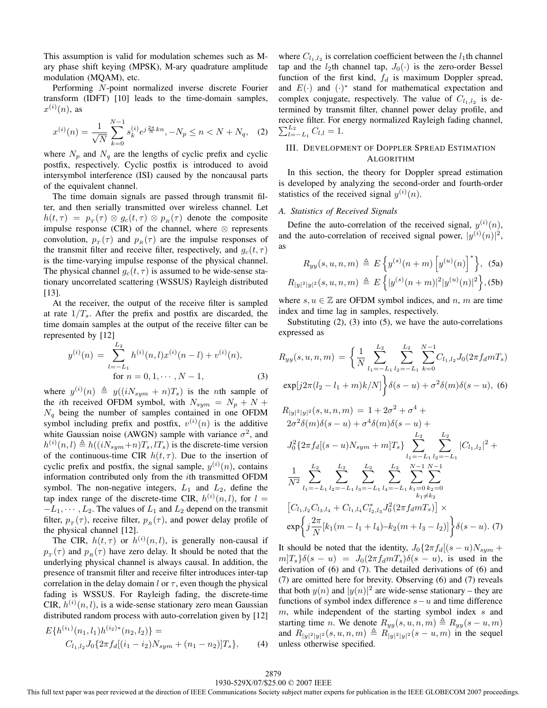This assumption is valid for modulation schemes such as Mary phase shift keying (MPSK), M-ary quadrature amplitude modulation (MQAM), etc.

Performing N-point normalized inverse discrete Fourier transform (IDFT) [10] leads to the time-domain samples,  $x^{(i)}(n)$ , as

$$
x^{(i)}(n) = \frac{1}{\sqrt{N}} \sum_{k=0}^{N-1} s_k^{(i)} e^{j\frac{2\pi}{N}kn}, -N_p \le n < N + N_q,\tag{2}
$$

where  $N_p$  and  $N_q$  are the lengths of cyclic prefix and cyclic postfix, respectively. Cyclic postfix is introduced to avoid intersymbol interference (ISI) caused by the noncausal parts of the equivalent channel.

The time domain signals are passed through transmit filter, and then serially transmitted over wireless channel. Let  $h(t,\tau) = p_{\tau}(\tau) \otimes g_c(t,\tau) \otimes p_{\tau}(\tau)$  denote the composite impulse response (CIR) of the channel, where  $\otimes$  represents convolution,  $p_T(\tau)$  and  $p_R(\tau)$  are the impulse responses of the transmit filter and receive filter, respectively, and  $g_c(t, \tau)$ is the time-varying impulse response of the physical channel. The physical channel  $q_c(t, \tau)$  is assumed to be wide-sense stationary uncorrelated scattering (WSSUS) Rayleigh distributed [13].

At the receiver, the output of the receive filter is sampled at rate  $1/T_s$ . After the prefix and postfix are discarded, the time domain samples at the output of the receive filter can be represented by [12]

$$
y^{(i)}(n) = \sum_{l=-L_1}^{L_2} h^{(i)}(n,l)x^{(i)}(n-l) + v^{(i)}(n),
$$
  
for  $n = 0, 1, \dots, N-1,$  (3)

where  $y^{(i)}(n) \triangleq y((iN_{sym} + n)T_s)$  is the *n*th sample of the *i*th received OFDM symbol, with  $N_{sym} = N_p + N +$  $N_q$  being the number of samples contained in one OFDM symbol including prefix and postfix,  $v^{(i)}(n)$  is the additive white Gaussian noise (AWGN) sample with variance  $\sigma^2$ , and  $h^{(i)}(n,l) \triangleq h((iN_{sym}+n)T_s,lT_s)$  is the discrete-time version of the continuous-time CIR  $h(t, \tau)$ . Due to the insertion of cyclic prefix and postfix, the signal sample,  $y^{(i)}(n)$ , contains information contributed only from the ith transmitted OFDM symbol. The non-negative integers,  $L_1$  and  $L_2$ , define the tap index range of the discrete-time CIR,  $h^{(i)}(n, l)$ , for  $l =$  $-L_1, \dots, L_2$ . The values of  $L_1$  and  $L_2$  depend on the transmit filter,  $p_T(\tau)$ , receive filter,  $p_R(\tau)$ , and power delay profile of the physical channel [12].

The CIR,  $h(t, \tau)$  or  $h^{(i)}(n, l)$ , is generally non-causal if  $p_{\tau}(\tau)$  and  $p_{\mu}(\tau)$  have zero delay. It should be noted that the underlying physical channel is always causal. In addition, the presence of transmit filter and receive filter introduces inter-tap correlation in the delay domain  $l$  or  $\tau$ , even though the physical fading is WSSUS. For Rayleigh fading, the discrete-time  $CIR, h^{(i)}(n, l)$ , is a wide-sense stationary zero mean Gaussian distributed random process with auto-correlation given by [12]  $\mathcal{L} \rightarrow \infty$ 

$$
E\{h^{(i_1)}(n_1, l_1)h^{(i_2)*}(n_2, l_2)\} =
$$
  
\n
$$
C_{l_1, l_2}J_0\{2\pi f_d[(i_1 - i_2)N_{sym} + (n_1 - n_2)]T_s\},
$$
\n(4)

where  $C_{l_1,l_2}$  is correlation coefficient between the  $l_1$ th channel tap and the  $l_2$ th channel tap,  $J_0(\cdot)$  is the zero-order Bessel function of the first kind,  $f_d$  is maximum Doppler spread, and  $E(\cdot)$  and  $(\cdot)^*$  stand for mathematical expectation and complex conjugate, respectively. The value of  $C_{l_1,l_2}$  is determined by transmit filter, channel power delay profile, and receive filter. For energy normalized Rayleigh fading channel,  $\sum_{l=-L_1}^{L_2} C_{l,l} = 1.$ 

#### III. DEVELOPMENT OF DOPPLER SPREAD ESTIMATION ALGORITHM

In this section, the theory for Doppler spread estimation is developed by analyzing the second-order and fourth-order statistics of the received signal  $y^{(i)}(n)$ .

#### *A. Statistics of Received Signals*

Define the auto-correlation of the received signal,  $y^{(i)}(n)$ , and the auto-correlation of received signal power,  $|y^{(i)}(n)|^2$ , as

$$
R_{yy}(s, u, n, m) \triangleq E\left\{y^{(s)}(n+m)\left[y^{(u)}(n)\right]^*\right\}, (5a)
$$
  

$$
R_{|y|^2|y|^2}(s, u, n, m) \triangleq E\left\{|y^{(s)}(n+m)|^2|y^{(u)}(n)|^2\right\}, (5b)
$$

where  $s, u \in \mathbb{Z}$  are OFDM symbol indices, and n, m are time index and time lag in samples, respectively.

Substituting  $(2)$ ,  $(3)$  into  $(5)$ , we have the auto-correlations expressed as

$$
R_{yy}(s, u, n, m) = \left\{ \frac{1}{N} \sum_{l_1 = -L_1}^{L_2} \sum_{l_2 = -L_1}^{L_2} \sum_{k=0}^{N-1} C_{l_1, l_2} J_0(2\pi f_d m T_s) \exp[j2\pi (l_2 - l_1 + m)k/N] \right\} \delta(s - u) + \sigma^2 \delta(m) \delta(s - u), \tag{6}
$$

$$
R_{|y|^2|y|^2}(s, u, n, m) = 1 + 2\sigma^2 + \sigma^4 +
$$
  
\n
$$
2\sigma^2 \delta(m)\delta(s - u) + \sigma^4 \delta(m)\delta(s - u) +
$$
  
\n
$$
J_0^2 \{2\pi f_d[(s - u)N_{sym} + m]T_s\} \sum_{l_1 = -L_1}^{L_2} \sum_{l_2 = -L_1}^{L_2} |C_{l_1, l_2}|^2 +
$$
  
\n
$$
\frac{1}{N^2} \sum_{l_1 = -L_1}^{L_2} \sum_{l_2 = -L_1}^{L_2} \sum_{l_3 = -L_1}^{L_2} \sum_{l_4 = -L_1}^{L_2} \sum_{k_1 \neq k_2}^{N-1} \sum_{k_2 = 0}^{N-1}
$$
  
\n
$$
[C_{l_1, l_2} C_{l_3, l_4} + C_{l_1, l_4} C_{l_2, l_3}^* J_0^2 (2\pi f_d m T_s)] \times
$$
  
\n
$$
\exp\left\{j \frac{2\pi}{N} [k_1(m - l_1 + l_4) - k_2(m + l_3 - l_2)]\right\} \delta(s - u). (7)
$$

It should be noted that the identity,  $J_0\{2\pi f_d|(s-u)N_{sym}+\}$  $m|T_s\delta(s-u) = J_0(2\pi f_d m T_s)\delta(s-u)$ , is used in the derivation of (6) and (7). The detailed derivations of (6) and (7) are omitted here for brevity. Observing (6) and (7) reveals that both  $y(n)$  and  $|y(n)|^2$  are wide-sense stationary – they are functions of symbol index difference  $s-u$  and time difference  $m$ , while independent of the starting symbol index  $s$  and starting time n. We denote  $R_{yy}(s, u, n, m) \triangleq R_{yy}(s - u, m)$ and  $R_{|y|^2|y|^2}(s, u, n, m) \triangleq R_{|y|^2|y|^2}(s - u, m)$  in the sequel unless otherwise specified.

This full text paper was peer reviewed at the direction of IEEE Communications Society subject matter experts for publication in the IEEE GLOBECOM 2007 proceedings.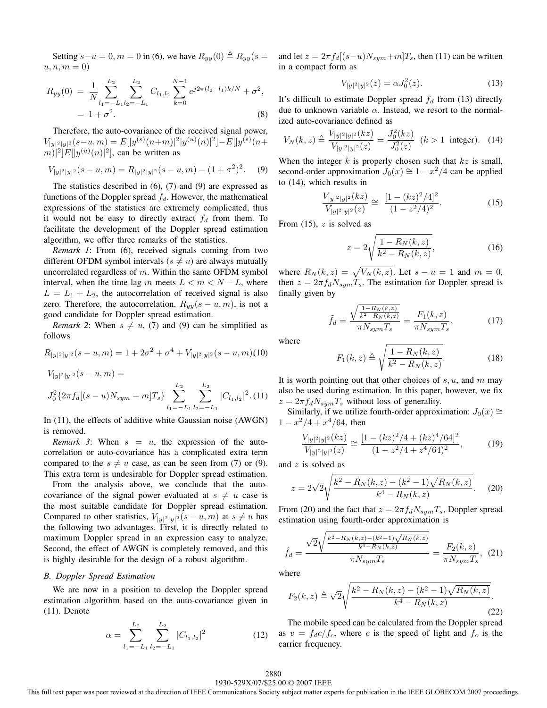Setting  $s-u=0, m=0$  in (6), we have  $R_{yy}(0) \triangleq R_{yy}(s=0)$  $u, n, m = 0$ 

$$
R_{yy}(0) = \frac{1}{N} \sum_{l_1 = -L_1 l_2 = -L_1}^{L_2} C_{l_1, l_2} \sum_{k=0}^{N-1} e^{j2\pi (l_2 - l_1)k/N} + \sigma^2,
$$
  
= 1 + \sigma^2. (8)

Therefore, the auto-covariance of the received signal power,  $V_{|y|_2^2|y|^2}(s-u,m) = E[|y^{(s)}(n+m)|^2|y^{(u)}(n)|^2] - E[|y^{(s)}(n+m)|^2]$  $||m||^2 E[|y^{(u)}(n)|^2]$ , can be written as

$$
V_{|y|^2|y|^2}(s-u,m) = R_{|y|^2|y|^2}(s-u,m) - (1+\sigma^2)^2. \tag{9}
$$

The statistics described in  $(6)$ ,  $(7)$  and  $(9)$  are expressed as functions of the Doppler spread  $f_d$ . However, the mathematical expressions of the statistics are extremely complicated, thus it would not be easy to directly extract  $f_d$  from them. To facilitate the development of the Doppler spread estimation algorithm, we offer three remarks of the statistics.

*Remark 1*: From (6), received signals coming from two different OFDM symbol intervals ( $s \neq u$ ) are always mutually uncorrelated regardless of  $m$ . Within the same OFDM symbol interval, when the time lag m meets  $L < m < N - L$ , where  $L = L_1 + L_2$ , the autocorrelation of received signal is also zero. Therefore, the autocorrelation,  $R_{yy}(s - u, m)$ , is not a good candidate for Doppler spread estimation.

*Remark 2*: When  $s \neq u$ , (7) and (9) can be simplified as follows

$$
R_{|y|^2|y|^2}(s-u,m) = 1 + 2\sigma^2 + \sigma^4 + V_{|y|^2|y|^2}(s-u,m)
$$
(10)

$$
V_{|y|^2|y|^2}(s-u,m) =
$$
  

$$
J_0^2\{2\pi f_d[(s-u)N_{sym}+m]T_s\}\sum_{l_1=-L_1}^{L_2}\sum_{l_2=-L_1}^{L_2}|C_{l_1,l_2}|^2.(11)
$$

In (11), the effects of additive white Gaussian noise (AWGN) is removed.

*Remark 3*: When  $s = u$ , the expression of the autocorrelation or auto-covariance has a complicated extra term compared to the  $s \neq u$  case, as can be seen from (7) or (9). This extra term is undesirable for Doppler spread estimation.

From the analysis above, we conclude that the autocovariance of the signal power evaluated at  $s \neq u$  case is the most suitable candidate for Doppler spread estimation. Compared to other statistics,  $V_{|y|^2}|y|^2$   $(s - u, m)$  at  $s \neq u$  has the following two advantages. First, it is directly related to maximum Doppler spread in an expression easy to analyze. Second, the effect of AWGN is completely removed, and this is highly desirable for the design of a robust algorithm.

#### *B. Doppler Spread Estimation*

We are now in a position to develop the Doppler spread estimation algorithm based on the auto-covariance given in (11). Denote

$$
\alpha = \sum_{l_1 = -L_1}^{L_2} \sum_{l_2 = -L_1}^{L_2} |C_{l_1, l_2}|^2 \tag{12}
$$

and let  $z = 2\pi f_d[(s-u)N_{sym}+m]T_s$ , then (11) can be written in a compact form as

$$
V_{|y|^2|y|^2}(z) = \alpha J_0^2(z). \tag{13}
$$

It's difficult to estimate Doppler spread  $f_d$  from (13) directly due to unknown variable  $\alpha$ . Instead, we resort to the normalized auto-covariance defined as

$$
V_N(k, z) \triangleq \frac{V_{|y|^2|y|^2}(kz)}{V_{|y|^2|y|^2}(z)} = \frac{J_0^2(kz)}{J_0^2(z)} \quad (k > 1 \text{ integer}). \quad (14)
$$

When the integer  $k$  is properly chosen such that  $kz$  is small, second-order approximation  $J_0(x) \cong 1 - x^2/4$  can be applied to (14), which results in

$$
\frac{V_{|y|^2|y|^2}(kz)}{V_{|y|^2|y|^2}(z)} \cong \frac{[1 - (kz)^2/4]^2}{(1 - z^2/4)^2}.
$$
 (15)

From  $(15)$ , z is solved as

$$
z = 2\sqrt{\frac{1 - R_N(k, z)}{k^2 - R_N(k, z)}},
$$
\n(16)

where  $R_N(k, z) = \sqrt{V_N(k, z)}$ . Let  $s - u = 1$  and  $m = 0$ , then  $z = 2\pi f_d N_{sym}T_s$ . The estimation for Doppler spread is finally given by

$$
\tilde{f}_d = \frac{\sqrt{\frac{1 - R_N(k, z)}{k^2 - R_N(k, z)}}}{\pi N_{sym} T_s} = \frac{F_1(k, z)}{\pi N_{sym} T_s},
$$
\n(17)

where

$$
F_1(k, z) \triangleq \sqrt{\frac{1 - R_N(k, z)}{k^2 - R_N(k, z)}}.
$$
\n(18)

It is worth pointing out that other choices of  $s, u$ , and  $m$  may also be used during estimation. In this paper, however, we fix  $z = 2\pi f_d N_{sym}T_s$  without loss of generality.

Similarly, if we utilize fourth-order approximation:  $J_0(x)$  ≅  $1 - x^2/4 + x^4/64$ , then

$$
\frac{V_{|y|^2|y|^2}(kz)}{V_{|y|^2|y|^2}(z)} \cong \frac{[1 - (kz)^2/4 + (kz)^4/64]^2}{(1 - z^2/4 + z^4/64)^2},\tag{19}
$$

and z is solved as

$$
z = 2\sqrt{2}\sqrt{\frac{k^2 - R_N(k, z) - (k^2 - 1)\sqrt{R_N(k, z)}}{k^4 - R_N(k, z)}}.
$$
 (20)

From (20) and the fact that  $z = 2\pi f_d N_{sym}T_s$ , Doppler spread estimation using fourth-order approximation is

$$
\hat{f}_d = \frac{\sqrt{2}\sqrt{\frac{k^2 - R_N(k,z) - (k^2 - 1)\sqrt{R_N(k,z)}}{k^4 - R_N(k,z)}}}{\pi N_{sym} T_s} = \frac{F_2(k,z)}{\pi N_{sym} T_s}, (21)
$$

where

$$
F_2(k, z) \triangleq \sqrt{2} \sqrt{\frac{k^2 - R_N(k, z) - (k^2 - 1)\sqrt{R_N(k, z)}}{k^4 - R_N(k, z)}}.
$$
\n(22)

The mobile speed can be calculated from the Doppler spread as  $v = f_d c/f_c$ , where c is the speed of light and  $f_c$  is the carrier frequency.

#### 1930-529X/07/\$25.00 © 2007 IEEE 2880

This full text paper was peer reviewed at the direction of IEEE Communications Society subject matter experts for publication in the IEEE GLOBECOM 2007 proceedings.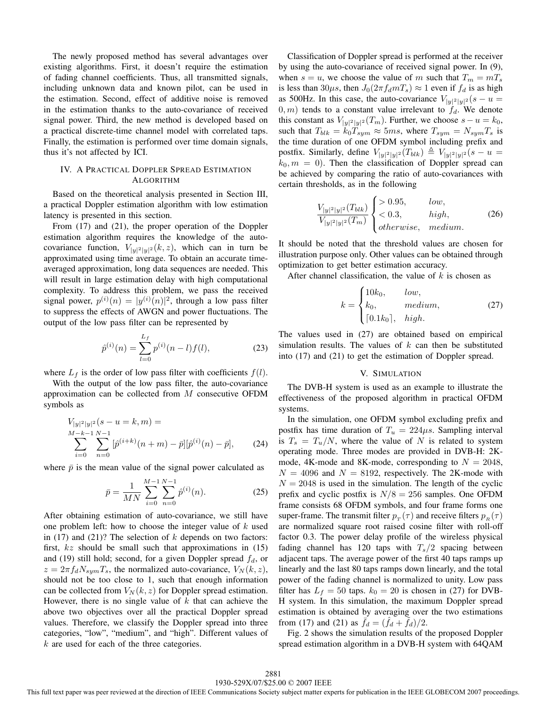The newly proposed method has several advantages over existing algorithms. First, it doesn't require the estimation of fading channel coefficients. Thus, all transmitted signals, including unknown data and known pilot, can be used in the estimation. Second, effect of additive noise is removed in the estimation thanks to the auto-covariance of received signal power. Third, the new method is developed based on a practical discrete-time channel model with correlated taps. Finally, the estimation is performed over time domain signals, thus it's not affected by ICI.

#### IV. A PRACTICAL DOPPLER SPREAD ESTIMATION **ALGORITHM**

Based on the theoretical analysis presented in Section III, a practical Doppler estimation algorithm with low estimation latency is presented in this section.

From (17) and (21), the proper operation of the Doppler estimation algorithm requires the knowledge of the autocovariance function,  $V_{|y|^2}|y|^2}(k, z)$ , which can in turn be approximated using time average. To obtain an accurate timeaveraged approximation, long data sequences are needed. This will result in large estimation delay with high computational complexity. To address this problem, we pass the received signal power,  $p^{(i)}(n) = |y^{(i)}(n)|^2$ , through a low pass filter to suppress the effects of AWGN and power fluctuations. The output of the low pass filter can be represented by

$$
\hat{p}^{(i)}(n) = \sum_{l=0}^{L_f} p^{(i)}(n-l) f(l),\tag{23}
$$

where  $L_f$  is the order of low pass filter with coefficients  $f(l)$ .

With the output of the low pass filter, the auto-covariance approximation can be collected from M consecutive OFDM symbols as

$$
V_{|y|^2|y|^2}(s-u=k,m) =
$$
  

$$
\sum_{i=0}^{M-k-1} \sum_{n=0}^{N-1} [\hat{p}^{(i+k)}(n+m) - \bar{p}][\hat{p}^{(i)}(n) - \bar{p}],
$$
 (24)

where  $\bar{p}$  is the mean value of the signal power calculated as

$$
\bar{p} = \frac{1}{MN} \sum_{i=0}^{M-1} \sum_{n=0}^{N-1} \hat{p}^{(i)}(n).
$$
 (25)

After obtaining estimation of auto-covariance, we still have one problem left: how to choose the integer value of  $k$  used in (17) and (21)? The selection of  $k$  depends on two factors: first,  $kz$  should be small such that approximations in (15) and (19) still hold; second, for a given Doppler spread  $f_d$ , or  $z = 2\pi f_d N_{sym}T_s$ , the normalized auto-covariance,  $V_N(k, z)$ , should not be too close to 1, such that enough information can be collected from  $V_N(k, z)$  for Doppler spread estimation. However, there is no single value of  $k$  that can achieve the above two objectives over all the practical Doppler spread values. Therefore, we classify the Doppler spread into three categories, "low", "medium", and "high". Different values of  $k$  are used for each of the three categories.

Classification of Doppler spread is performed at the receiver by using the auto-covariance of received signal power. In (9), when  $s = u$ , we choose the value of m such that  $T_m = mT_s$ is less than 30 $\mu$ s, then  $J_0(2\pi f_d mT_s) \approx 1$  even if  $f_d$  is as high as 500Hz. In this case, the auto-covariance  $V_{|y|^2}|y|^2(s-u)$  $(0, m)$  tends to a constant value irrelevant to  $f_d$ . We denote this constant as  $V_{|y|^2}|y|^2}$  ( $T_m$ ). Further, we choose  $s - u = k_0$ , such that  $T_{blk} = k_0 T_{sym} \approx 5ms$ , where  $T_{sym} = N_{sym}T_s$  is the time duration of one OFDM symbol including prefix and postfix. Similarly, define  $V_{|y|^2|y|^2}(T_{blk}) \triangleq V_{|y|^2|y|^2}(s - u =$  $k_0$ ,  $m = 0$ ). Then the classification of Doppler spread can be achieved by comparing the ratio of auto-covariances with certain thresholds, as in the following

$$
\frac{V_{|y|^2|y|^2}(T_{blk})}{V_{|y|^2|y|^2}(T_m)} \begin{cases} > 0.95, \quad low, \\ < 0.3, \quad high, \\ otherwise, \quad medium. \end{cases} \tag{26}
$$

It should be noted that the threshold values are chosen for illustration purpose only. Other values can be obtained through optimization to get better estimation accuracy.

After channel classification, the value of  $k$  is chosen as

$$
k = \begin{cases} 10k_0, & low, \\ k_0, & medium, \\ \lceil 0.1k_0 \rceil, & high. \end{cases}
$$
 (27)

The values used in (27) are obtained based on empirical simulation results. The values of  $k$  can then be substituted into (17) and (21) to get the estimation of Doppler spread.

#### V. SIMULATION

The DVB-H system is used as an example to illustrate the effectiveness of the proposed algorithm in practical OFDM systems.

In the simulation, one OFDM symbol excluding prefix and postfix has time duration of  $T_u = 224 \mu s$ . Sampling interval is  $T_s = T_u/N$ , where the value of N is related to system operating mode. Three modes are provided in DVB-H: 2Kmode, 4K-mode and 8K-mode, corresponding to  $N = 2048$ ,  $N = 4096$  and  $N = 8192$ , respectively. The 2K-mode with  $N = 2048$  is used in the simulation. The length of the cyclic prefix and cyclic postfix is  $N/8 = 256$  samples. One OFDM frame consists 68 OFDM symbols, and four frame forms one super-frame. The transmit filter  $p_T(\tau)$  and receive filters  $p_B(\tau)$ are normalized square root raised cosine filter with roll-off factor 0.3. The power delay profile of the wireless physical fading channel has 120 taps with  $T_s/2$  spacing between adjacent taps. The average power of the first 40 taps ramps up linearly and the last 80 taps ramps down linearly, and the total power of the fading channel is normalized to unity. Low pass filter has  $L_f = 50$  taps.  $k_0 = 20$  is chosen in (27) for DVB-H system. In this simulation, the maximum Doppler spread estimation is obtained by averaging over the two estimations from (17) and (21) as  $f_d = (f_d + f_d)/2$ .

Fig. 2 shows the simulation results of the proposed Doppler spread estimation algorithm in a DVB-H system with 64QAM